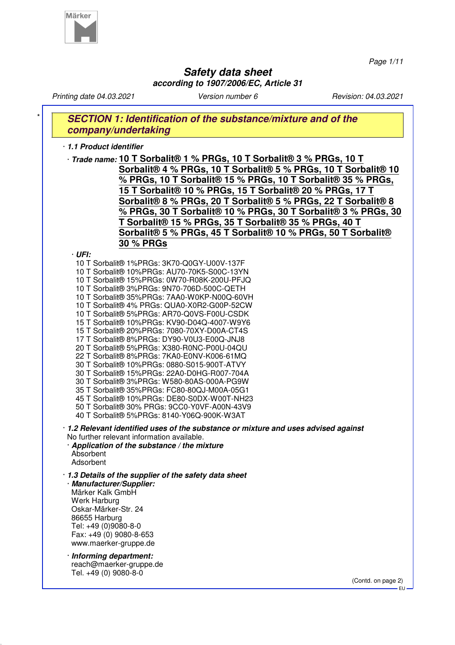

*Page 1/11*

# **Safety data sheet**

**according to 1907/2006/EC, Article 31** *Printing date 04.03.2021 Version number 6 Revision: 04.03.2021* **SECTION 1: Identification of the substance/mixture and of the company/undertaking** · **1.1 Product identifier** · **Trade name: 10 T Sorbalit® 1 % PRGs, 10 T Sorbalit® 3 % PRGs, 10 T Sorbalit® 4 % PRGs, 10 T Sorbalit® 5 % PRGs, 10 T Sorbalit® 10 % PRGs, 10 T Sorbalit® 15 % PRGs, 10 T Sorbalit® 35 % PRGs, 15 T Sorbalit® 10 % PRGs, 15 T Sorbalit® 20 % PRGs, 17 T Sorbalit® 8 % PRGs, 20 T Sorbalit® 5 % PRGs, 22 T Sorbalit® 8 % PRGs, 30 T Sorbalit® 10 % PRGs, 30 T Sorbalit® 3 % PRGs, 30 T Sorbalit® 15 % PRGs, 35 T Sorbalit® 35 % PRGs, 40 T Sorbalit® 5 % PRGs, 45 T Sorbalit® 10 % PRGs, 50 T Sorbalit® 30 % PRGs** · **UFI:** 10 T Sorbalit® 1%PRGs: 3K70-Q0GY-U00V-137F 10 T Sorbalit® 10%PRGs: AU70-70K5-S00C-13YN 10 T Sorbalit® 15%PRGs: 0W70-R08K-200U-PFJQ 10 T Sorbalit® 3%PRGs: 9N70-706D-500C-QETH 10 T Sorbalit® 35%PRGs: 7AA0-W0KP-N00Q-60VH 10 T Sorbalit® 4% PRGs: QUA0-X0R2-G00P-52CW 10 T Sorbalit® 5%PRGs: AR70-Q0VS-F00U-CSDK 15 T Sorbalit® 10%PRGs: KV90-D04Q-4007-W9Y6 15 T Sorbalit® 20%PRGs: 7080-70XY-D00A-CT4S 17 T Sorbalit® 8%PRGs: DY90-V0U3-E00Q-JNJ8 20 T Sorbalit® 5%PRGs: X380-R0NC-P00U-04QU 22 T Sorbalit® 8%PRGs: 7KA0-E0NV-K006-61MQ 30 T Sorbalit® 10%PRGs: 0880-S015-900T-ATVY 30 T Sorbalit® 15%PRGs: 22A0-D0HG-R007-704A 30 T Sorbalit® 3%PRGs: W580-80AS-000A-PG9W 35 T Sorbalit® 35%PRGs: FC80-80QJ-M00A-05G1 45 T Sorbalit® 10%PRGs: DE80-S0DX-W00T-NH23 50 T Sorbalit® 30% PRGs: 9CC0-Y0VF-A00N-43V9 40 T Sorbalit® 5%PRGs: 8140-Y06Q-900K-W3AT · **1.2 Relevant identified uses of the substance or mixture and uses advised against** No further relevant information available. · **Application of the substance / the mixture** Absorbent Adsorbent · **1.3 Details of the supplier of the safety data sheet** · **Manufacturer/Supplier:** Märker Kalk GmbH Werk Harburg Oskar-Märker-Str. 24 86655 Harburg Tel: +49 (0)9080-8-0 Fax: +49 (0) 9080-8-653 www.maerker-gruppe.de · **Informing department:** reach@maerker-gruppe.de Tel. +49 (0) 9080-8-0

> (Contd. on page 2) EU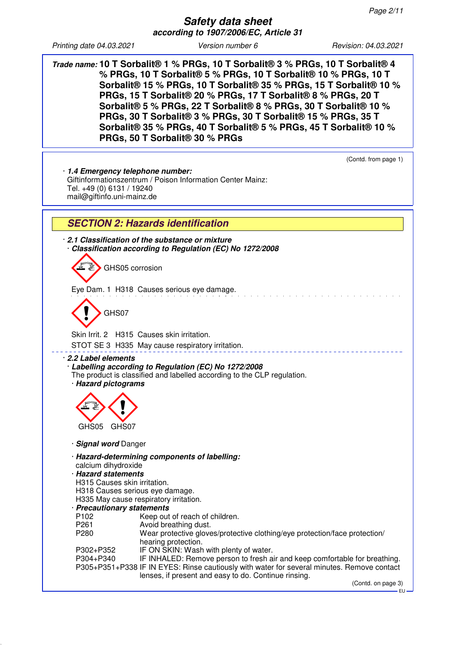**Trade name: 10 T Sorbalit® 1 % PRGs, 10 T Sorbalit® 3 % PRGs, 10 T Sorbalit® 4 % PRGs, 10 T Sorbalit® 5 % PRGs, 10 T Sorbalit® 10 % PRGs, 10 T Sorbalit® 15 % PRGs, 10 T Sorbalit® 35 % PRGs, 15 T Sorbalit® 10 % PRGs, 15 T Sorbalit® 20 % PRGs, 17 T Sorbalit® 8 % PRGs, 20 T Sorbalit® 5 % PRGs, 22 T Sorbalit® 8 % PRGs, 30 T Sorbalit® 10 % PRGs, 30 T Sorbalit® 3 % PRGs, 30 T Sorbalit® 15 % PRGs, 35 T Sorbalit® 35 % PRGs, 40 T Sorbalit® 5 % PRGs, 45 T Sorbalit® 10 % PRGs, 50 T Sorbalit® 30 % PRGs**

(Contd. from page 1)

· **1.4 Emergency telephone number:** Giftinformationszentrum / Poison Information Center Mainz: Tel. +49 (0) 6131 / 19240 mail@giftinfo.uni-mainz.de

# **SECTION 2: Hazards identification**

· **2.1 Classification of the substance or mixture** · **Classification according to Regulation (EC) No 1272/2008**

GHS05 corrosion

Eye Dam. 1 H318 Causes serious eye damage.

GHS07

Skin Irrit. 2 H315 Causes skin irritation. STOT SE 3 H335 May cause respiratory irritation.

#### · **2.2 Label elements**

- · **Labelling according to Regulation (EC) No 1272/2008**
- The product is classified and labelled according to the CLP regulation.

· **Hazard pictograms**



· **Signal word** Danger

- · **Hazard-determining components of labelling:**
- calcium dihydroxide

#### · **Hazard statements**

- H315 Causes skin irritation.
- H318 Causes serious eye damage.
- H335 May cause respiratory irritation.

# · **Precautionary statements**

- Keep out of reach of children.
- 
- P261 **Avoid breathing dust.**<br>P280 **Wear protective alove** Wear protective gloves/protective clothing/eye protection/face protection/ hearing protection.
- P302+P352 IF ON SKIN: Wash with plenty of water.
- P304+P340 IF INHALED: Remove person to fresh air and keep comfortable for breathing. P305+P351+P338 IF IN EYES: Rinse cautiously with water for several minutes. Remove contact lenses, if present and easy to do. Continue rinsing.

(Contd. on page 3)

EU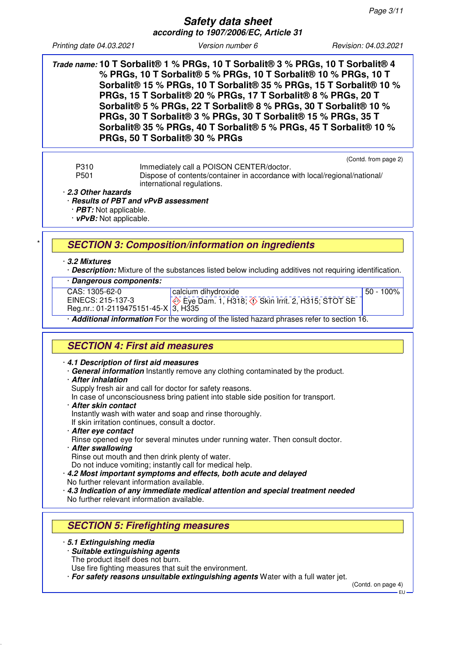**Safety data sheet according to 1907/2006/EC, Article 31**

*Printing date 04.03.2021 Version number 6 Revision: 04.03.2021*

**Trade name: 10 T Sorbalit® 1 % PRGs, 10 T Sorbalit® 3 % PRGs, 10 T Sorbalit® 4 % PRGs, 10 T Sorbalit® 5 % PRGs, 10 T Sorbalit® 10 % PRGs, 10 T Sorbalit® 15 % PRGs, 10 T Sorbalit® 35 % PRGs, 15 T Sorbalit® 10 % PRGs, 15 T Sorbalit® 20 % PRGs, 17 T Sorbalit® 8 % PRGs, 20 T Sorbalit® 5 % PRGs, 22 T Sorbalit® 8 % PRGs, 30 T Sorbalit® 10 % PRGs, 30 T Sorbalit® 3 % PRGs, 30 T Sorbalit® 15 % PRGs, 35 T Sorbalit® 35 % PRGs, 40 T Sorbalit® 5 % PRGs, 45 T Sorbalit® 10 % PRGs, 50 T Sorbalit® 30 % PRGs**

(Contd. from page 2)

P310 Immediately call a POISON CENTER/doctor.<br>P501 Dispose of contents/container in accordance Dispose of contents/container in accordance with local/regional/national/ international regulations.

· **2.3 Other hazards**

#### · **Results of PBT and vPvB assessment**

· **PBT:** Not applicable.

· **vPvB:** Not applicable.

# \* **SECTION 3: Composition/information on ingredients**

#### · **3.2 Mixtures**

· **Description:** Mixture of the substances listed below including additives not requiring identification.

#### · **Dangerous components:**

CAS: 1305-62-0 EINECS: 215-137-3

calcium dihydroxide  $\Leftrightarrow$  Eye Dam. 1, H318;  $\Leftrightarrow$  Skin Irrit. 2, H315; STOT SE

 $50 - 100\%$ 

Reg.nr.: 01-2119475151-45-X 3, H335

· **Additional information** For the wording of the listed hazard phrases refer to section 16.

# **SECTION 4: First aid measures**

#### · **4.1 Description of first aid measures**

- · **General information** Instantly remove any clothing contaminated by the product.
- · **After inhalation**

Supply fresh air and call for doctor for safety reasons.

- In case of unconsciousness bring patient into stable side position for transport.
- · **After skin contact**
- Instantly wash with water and soap and rinse thoroughly.
- If skin irritation continues, consult a doctor.
- · **After eye contact**

Rinse opened eye for several minutes under running water. Then consult doctor.

- · **After swallowing**
- Rinse out mouth and then drink plenty of water.

Do not induce vomiting; instantly call for medical help.

- · **4.2 Most important symptoms and effects, both acute and delayed** No further relevant information available.
- · **4.3 Indication of any immediate medical attention and special treatment needed** No further relevant information available.

# **SECTION 5: Firefighting measures**

· **5.1 Extinguishing media**

- · **Suitable extinguishing agents**
- The product itself does not burn.
- Use fire fighting measures that suit the environment.

· **For safety reasons unsuitable extinguishing agents** Water with a full water jet.

(Contd. on page 4)

EU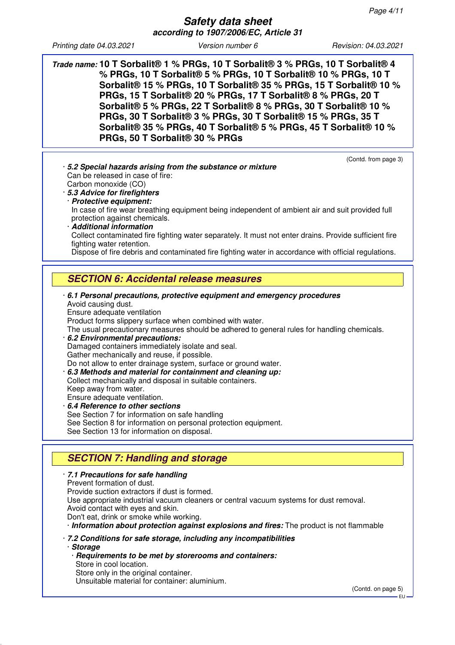**Safety data sheet according to 1907/2006/EC, Article 31**

*Printing date 04.03.2021 Version number 6 Revision: 04.03.2021*

**Trade name: 10 T Sorbalit® 1 % PRGs, 10 T Sorbalit® 3 % PRGs, 10 T Sorbalit® 4 % PRGs, 10 T Sorbalit® 5 % PRGs, 10 T Sorbalit® 10 % PRGs, 10 T Sorbalit® 15 % PRGs, 10 T Sorbalit® 35 % PRGs, 15 T Sorbalit® 10 % PRGs, 15 T Sorbalit® 20 % PRGs, 17 T Sorbalit® 8 % PRGs, 20 T Sorbalit® 5 % PRGs, 22 T Sorbalit® 8 % PRGs, 30 T Sorbalit® 10 % PRGs, 30 T Sorbalit® 3 % PRGs, 30 T Sorbalit® 15 % PRGs, 35 T Sorbalit® 35 % PRGs, 40 T Sorbalit® 5 % PRGs, 45 T Sorbalit® 10 % PRGs, 50 T Sorbalit® 30 % PRGs**

| (Contd. from page 3)                                                                                   |
|--------------------------------------------------------------------------------------------------------|
| · 5.2 Special hazards arising from the substance or mixture                                            |
| Can be released in case of fire:                                                                       |
| Carbon monoxide (CO)                                                                                   |
| · 5.3 Advice for firefighters                                                                          |
| · Protective equipment:                                                                                |
| In case of fire wear breathing equipment being independent of ambient air and suit provided full       |
| protection against chemicals.                                                                          |
| <b>Additional information</b>                                                                          |
|                                                                                                        |
| Collect contaminated fire fighting water separately. It must not enter drains. Provide sufficient fire |
| fighting water retention.                                                                              |
| Dispose of fire debris and contaminated fire fighting water in accordance with official regulations.   |
|                                                                                                        |
| <b>SECTION 6: Accidental release measures</b>                                                          |
|                                                                                                        |
| $\cdot$ 6.1 Personal precautions, protective equipment and emergency procedures                        |
| Avoid causing dust.                                                                                    |
| Ensure adequate ventilation                                                                            |
| Product forms slippery surface when combined with water.                                               |
| The usual precautionary measures should be adhered to general rules for handling chemicals.            |
| 6.2 Environmental precautions:                                                                         |
| Damaged containers immediately isolate and seal.                                                       |
| Gather mechanically and reuse, if possible.                                                            |
| Do not allow to enter drainage system, surface or ground water.                                        |
|                                                                                                        |
| 6.3 Methods and material for containment and cleaning up:                                              |
| Collect mechanically and disposal in suitable containers.                                              |
| Keep away from water.                                                                                  |
| Ensure adequate ventilation.                                                                           |
| 6.4 Reference to other sections                                                                        |
| See Section 7 for information on safe handling                                                         |
| See Section 8 for information on personal protection equipment.                                        |
| See Section 13 for information on disposal.                                                            |
|                                                                                                        |
| <b>SECTION 7: Handling and storage</b>                                                                 |
|                                                                                                        |
| · 7.1 Precautions for safe handling                                                                    |
| Prevent formation of dust.                                                                             |

Provide suction extractors if dust is formed.

Use appropriate industrial vacuum cleaners or central vacuum systems for dust removal. Avoid contact with eyes and skin.

Don't eat, drink or smoke while working.

· **Information about protection against explosions and fires:** The product is not flammable

· **7.2 Conditions for safe storage, including any incompatibilities** · **Storage**

· **Requirements to be met by storerooms and containers:** Store in cool location. Store only in the original container.

Unsuitable material for container: aluminium.

(Contd. on page 5)

EU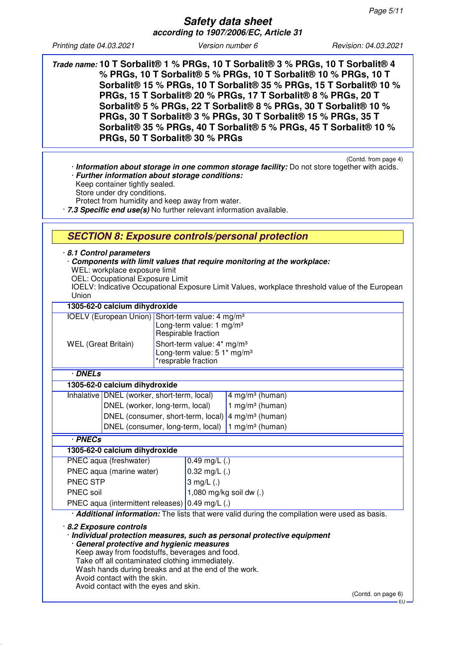**Safety data sheet according to 1907/2006/EC, Article 31**

*Printing date 04.03.2021 Version number 6 Revision: 04.03.2021*

**Trade name: 10 T Sorbalit® 1 % PRGs, 10 T Sorbalit® 3 % PRGs, 10 T Sorbalit® 4 % PRGs, 10 T Sorbalit® 5 % PRGs, 10 T Sorbalit® 10 % PRGs, 10 T Sorbalit® 15 % PRGs, 10 T Sorbalit® 35 % PRGs, 15 T Sorbalit® 10 % PRGs, 15 T Sorbalit® 20 % PRGs, 17 T Sorbalit® 8 % PRGs, 20 T Sorbalit® 5 % PRGs, 22 T Sorbalit® 8 % PRGs, 30 T Sorbalit® 10 % PRGs, 30 T Sorbalit® 3 % PRGs, 30 T Sorbalit® 15 % PRGs, 35 T Sorbalit® 35 % PRGs, 40 T Sorbalit® 5 % PRGs, 45 T Sorbalit® 10 % PRGs, 50 T Sorbalit® 30 % PRGs**

(Contd. from page 4) · **Information about storage in one common storage facility:** Do not store together with acids. · **Further information about storage conditions:**

Keep container tightly sealed.

Store under dry conditions.

Protect from humidity and keep away from water.

· **7.3 Specific end use(s)** No further relevant information available.

### **SECTION 8: Exposure controls/personal protection**

#### · **8.1 Control parameters**

- · **Components with limit values that require monitoring at the workplace:**
- WEL: workplace exposure limit
- OEL: Occupational Exposure Limit
- IOELV: Indicative Occupational Exposure Limit Values, workplace threshold value of the European Union

| 1305-62-0 calcium dihydroxide                                              |                                                                                              |                                                                                                           |                             |                             |
|----------------------------------------------------------------------------|----------------------------------------------------------------------------------------------|-----------------------------------------------------------------------------------------------------------|-----------------------------|-----------------------------|
| IOELV (European Union) Short-term value: 4 mg/m <sup>3</sup>               |                                                                                              | Long-term value: 1 mg/m <sup>3</sup><br>Respirable fraction                                               |                             |                             |
| <b>WEL</b> (Great Britain)                                                 |                                                                                              | Short-term value: 4* mg/m <sup>3</sup><br>Long-term value: $51*$ mg/m <sup>3</sup><br>*resprable fraction |                             |                             |
|                                                                            | · DNELs                                                                                      |                                                                                                           |                             |                             |
|                                                                            | 1305-62-0 calcium dihydroxide                                                                |                                                                                                           |                             |                             |
|                                                                            | Inhalative   DNEL (worker, short-term, local)                                                |                                                                                                           |                             | 4 mg/m <sup>3</sup> (human) |
|                                                                            | DNEL (worker, long-term, local)                                                              |                                                                                                           |                             | 1 mg/m <sup>3</sup> (human) |
| DNEL (consumer, short-term, local) $\frac{4}{1}$ mg/m <sup>3</sup> (human) |                                                                                              |                                                                                                           |                             |                             |
| DNEL (consumer, long-term, local)                                          |                                                                                              |                                                                                                           | 1 mg/m <sup>3</sup> (human) |                             |
| · PNECs                                                                    |                                                                                              |                                                                                                           |                             |                             |
| 1305-62-0 calcium dihydroxide                                              |                                                                                              |                                                                                                           |                             |                             |
|                                                                            | PNEC aqua (freshwater)                                                                       |                                                                                                           | $0.49$ mg/L $(.)$           |                             |
| PNEC aqua (marine water)                                                   |                                                                                              | $0.32$ mg/L (.)                                                                                           |                             |                             |
| PNEC STP                                                                   |                                                                                              | 3 mg/L $(.)$                                                                                              |                             |                             |
| PNEC soil                                                                  |                                                                                              | 1,080 mg/kg soil dw (.)                                                                                   |                             |                             |
| PNEC aqua (intermittent releases) $0.49$ mg/L (.)                          |                                                                                              |                                                                                                           |                             |                             |
|                                                                            | Additional information: The lists that were valid during the compilation were used as basis. |                                                                                                           |                             |                             |
| 20 Evnacura controla                                                       |                                                                                              |                                                                                                           |                             |                             |

#### · **8.2 Exposure controls**

· **Individual protection measures, such as personal protective equipment** · **General protective and hygienic measures**

Keep away from foodstuffs, beverages and food.

Take off all contaminated clothing immediately.

Wash hands during breaks and at the end of the work.

Avoid contact with the skin.

Avoid contact with the eyes and skin.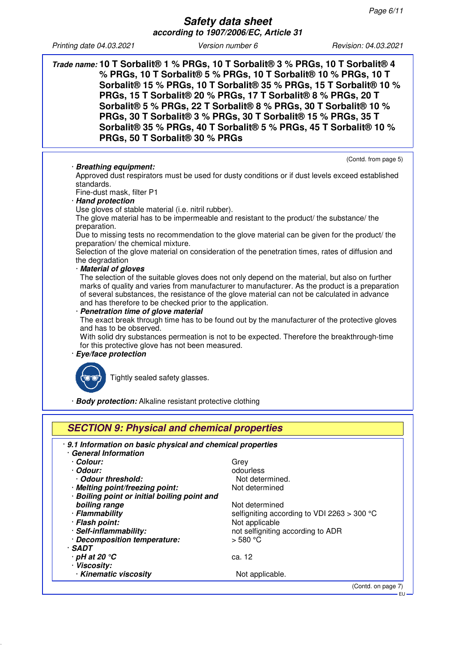**Trade name: 10 T Sorbalit® 1 % PRGs, 10 T Sorbalit® 3 % PRGs, 10 T Sorbalit® 4 % PRGs, 10 T Sorbalit® 5 % PRGs, 10 T Sorbalit® 10 % PRGs, 10 T Sorbalit® 15 % PRGs, 10 T Sorbalit® 35 % PRGs, 15 T Sorbalit® 10 % PRGs, 15 T Sorbalit® 20 % PRGs, 17 T Sorbalit® 8 % PRGs, 20 T Sorbalit® 5 % PRGs, 22 T Sorbalit® 8 % PRGs, 30 T Sorbalit® 10 % PRGs, 30 T Sorbalit® 3 % PRGs, 30 T Sorbalit® 15 % PRGs, 35 T Sorbalit® 35 % PRGs, 40 T Sorbalit® 5 % PRGs, 45 T Sorbalit® 10 % PRGs, 50 T Sorbalit® 30 % PRGs**

· **Breathing equipment:**

(Contd. from page 5)

Approved dust respirators must be used for dusty conditions or if dust levels exceed established standards.

Fine-dust mask, filter P1

#### · **Hand protection**

Use gloves of stable material (i.e. nitril rubber).

The glove material has to be impermeable and resistant to the product/ the substance/ the preparation.

Due to missing tests no recommendation to the glove material can be given for the product/ the preparation/ the chemical mixture.

Selection of the glove material on consideration of the penetration times, rates of diffusion and the degradation

#### · **Material of gloves**

The selection of the suitable gloves does not only depend on the material, but also on further marks of quality and varies from manufacturer to manufacturer. As the product is a preparation of several substances, the resistance of the glove material can not be calculated in advance and has therefore to be checked prior to the application.

· **Penetration time of glove material**

The exact break through time has to be found out by the manufacturer of the protective gloves and has to be observed.

With solid dry substances permeation is not to be expected. Therefore the breakthrough-time for this protective glove has not been measured.

#### · **Eye/face protection**



Tightly sealed safety glasses.

· **Body protection:** Alkaline resistant protective clothing

| <b>SECTION 9: Physical and chemical properties</b>          |                                               |  |  |
|-------------------------------------------------------------|-----------------------------------------------|--|--|
| · 9.1 Information on basic physical and chemical properties |                                               |  |  |
| <b>General Information</b>                                  |                                               |  |  |
| · Colour:                                                   | Grey                                          |  |  |
| · Odour:                                                    | odourless                                     |  |  |
| Odour threshold:                                            | Not determined.                               |  |  |
| · Melting point/freezing point:                             | Not determined                                |  |  |
| · Boiling point or initial boiling point and                |                                               |  |  |
| boiling range                                               | Not determined                                |  |  |
| · Flammability                                              | selfigniting according to VDI 2263 $>$ 300 °C |  |  |
| · Flash point:                                              | Not applicable                                |  |  |
| · Self-inflammability:                                      | not selfigniting according to ADR             |  |  |
| · Decomposition temperature:                                | $>$ 580 °C                                    |  |  |
| · SADT                                                      |                                               |  |  |
| $\cdot$ pH at 20 $\degree$ C                                | ca. 12                                        |  |  |
| · Viscosity:                                                |                                               |  |  |
| · Kinematic viscosity                                       | Not applicable.                               |  |  |

(Contd. on page 7)

EU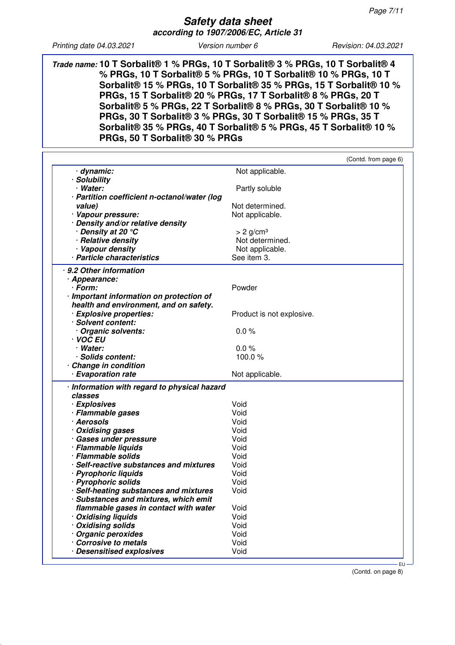**Trade name: 10 T Sorbalit® 1 % PRGs, 10 T Sorbalit® 3 % PRGs, 10 T Sorbalit® 4 % PRGs, 10 T Sorbalit® 5 % PRGs, 10 T Sorbalit® 10 % PRGs, 10 T Sorbalit® 15 % PRGs, 10 T Sorbalit® 35 % PRGs, 15 T Sorbalit® 10 % PRGs, 15 T Sorbalit® 20 % PRGs, 17 T Sorbalit® 8 % PRGs, 20 T Sorbalit® 5 % PRGs, 22 T Sorbalit® 8 % PRGs, 30 T Sorbalit® 10 % PRGs, 30 T Sorbalit® 3 % PRGs, 30 T Sorbalit® 15 % PRGs, 35 T Sorbalit® 35 % PRGs, 40 T Sorbalit® 5 % PRGs, 45 T Sorbalit® 10 % PRGs, 50 T Sorbalit® 30 % PRGs**

|                                              | (Contd. from page 6)      |
|----------------------------------------------|---------------------------|
| · dynamic:                                   | Not applicable.           |
| · Solubility                                 |                           |
| · Water:                                     | Partly soluble            |
| · Partition coefficient n-octanol/water (log |                           |
| value)                                       | Not determined.           |
| · Vapour pressure:                           | Not applicable.           |
| · Density and/or relative density            |                           |
|                                              |                           |
| ∙ Density at 20 °C                           | $> 2$ g/cm <sup>3</sup>   |
| · Relative density                           | Not determined.           |
| · Vapour density                             | Not applicable.           |
| · Particle characteristics                   | See item 3.               |
| · 9.2 Other information                      |                           |
| · Appearance:                                |                           |
| · Form:                                      | Powder                    |
| · Important information on protection of     |                           |
| health and environment, and on safety.       |                           |
| · Explosive properties:                      | Product is not explosive. |
| Solvent content:                             |                           |
| Organic solvents:                            | 0.0%                      |
| · VOC EU                                     |                           |
| · Water:                                     | 0.0%                      |
| · Solids content:                            | 100.0%                    |
|                                              |                           |
| <b>Change in condition</b>                   |                           |
| · Evaporation rate                           | Not applicable.           |
| · Information with regard to physical hazard |                           |
| classes                                      |                           |
| · Explosives                                 | Void                      |
| · Flammable gases                            | Void                      |
| · Aerosols                                   | Void                      |
| · Oxidising gases                            | Void                      |
| · Gases under pressure                       | Void                      |
| · Flammable liquids                          | Void                      |
| · Flammable solids                           | Void                      |
| · Self-reactive substances and mixtures      | Void                      |
|                                              |                           |
| · Pyrophoric liquids                         | Void                      |
| · Pyrophoric solids                          | Void                      |
| · Self-heating substances and mixtures       | Void                      |
|                                              |                           |
| · Substances and mixtures, which emit        |                           |
| flammable gases in contact with water        | Void                      |
| · Oxidising liquids                          | Void                      |
| · Oxidising solids                           | Void                      |
| Organic peroxides                            | Void                      |
| <b>Corrosive to metals</b>                   | Void                      |

(Contd. on page 8)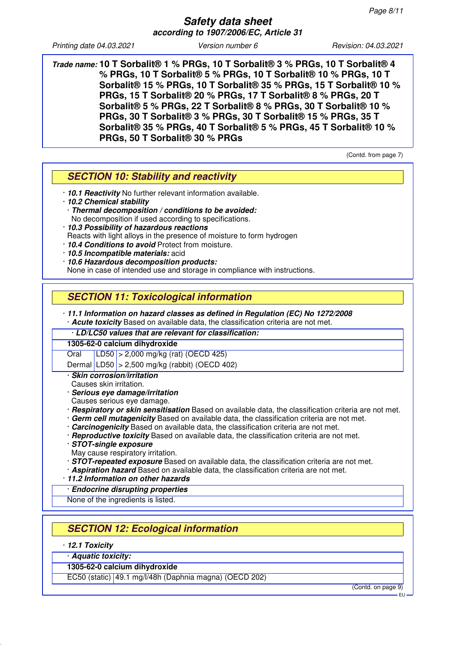**Trade name: 10 T Sorbalit® 1 % PRGs, 10 T Sorbalit® 3 % PRGs, 10 T Sorbalit® 4 % PRGs, 10 T Sorbalit® 5 % PRGs, 10 T Sorbalit® 10 % PRGs, 10 T Sorbalit® 15 % PRGs, 10 T Sorbalit® 35 % PRGs, 15 T Sorbalit® 10 % PRGs, 15 T Sorbalit® 20 % PRGs, 17 T Sorbalit® 8 % PRGs, 20 T Sorbalit® 5 % PRGs, 22 T Sorbalit® 8 % PRGs, 30 T Sorbalit® 10 % PRGs, 30 T Sorbalit® 3 % PRGs, 30 T Sorbalit® 15 % PRGs, 35 T Sorbalit® 35 % PRGs, 40 T Sorbalit® 5 % PRGs, 45 T Sorbalit® 10 % PRGs, 50 T Sorbalit® 30 % PRGs**

(Contd. from page 7)

# **SECTION 10: Stability and reactivity**

- · **10.1 Reactivity** No further relevant information available.
- · **10.2 Chemical stability**
- · **Thermal decomposition / conditions to be avoided:**
- No decomposition if used according to specifications.
- · **10.3 Possibility of hazardous reactions** Reacts with light alloys in the presence of moisture to form hydrogen
- · **10.4 Conditions to avoid** Protect from moisture.
- · **10.5 Incompatible materials:** acid
- · **10.6 Hazardous decomposition products:**

None in case of intended use and storage in compliance with instructions.

# **SECTION 11: Toxicological information**

· **11.1 Information on hazard classes as defined in Regulation (EC) No 1272/2008** · **Acute toxicity** Based on available data, the classification criteria are not met.

· **LD/LC50 values that are relevant for classification:**

**1305-62-0 calcium dihydroxide**

Oral LD50 > 2,000 mg/kg (rat) (OECD 425)

Dermal LD50 > 2,500 mg/kg (rabbit) (OECD 402)

· **Skin corrosion/irritation**

Causes skin irritation.

- · **Serious eye damage/irritation**
- Causes serious eye damage.
- · **Respiratory or skin sensitisation** Based on available data, the classification criteria are not met.
- · **Germ cell mutagenicity** Based on available data, the classification criteria are not met.
- · **Carcinogenicity** Based on available data, the classification criteria are not met.
- · **Reproductive toxicity** Based on available data, the classification criteria are not met.

#### · **STOT-single exposure**

- May cause respiratory irritation.
- · **STOT-repeated exposure** Based on available data, the classification criteria are not met.
- · **Aspiration hazard** Based on available data, the classification criteria are not met.
- · **11.2 Information on other hazards**

· **Endocrine disrupting properties**

None of the ingredients is listed.

# **SECTION 12: Ecological information**

· **12.1 Toxicity**

· **Aquatic toxicity:**

**1305-62-0 calcium dihydroxide**

EC50 (static) 49.1 mg/l/48h (Daphnia magna) (OECD 202)

(Contd. on page 9)

EU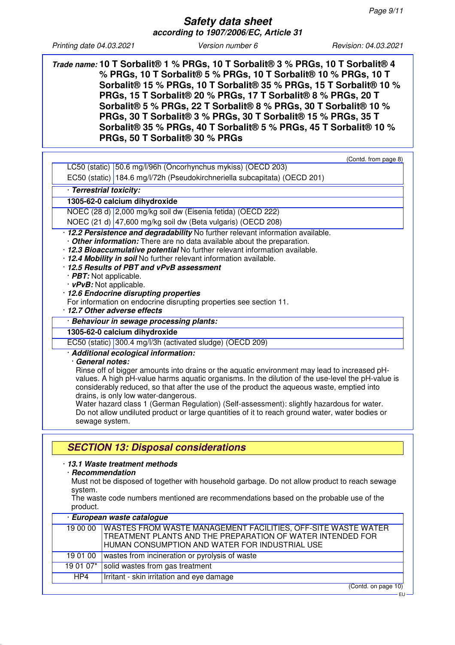**Trade name: 10 T Sorbalit® 1 % PRGs, 10 T Sorbalit® 3 % PRGs, 10 T Sorbalit® 4 % PRGs, 10 T Sorbalit® 5 % PRGs, 10 T Sorbalit® 10 % PRGs, 10 T Sorbalit® 15 % PRGs, 10 T Sorbalit® 35 % PRGs, 15 T Sorbalit® 10 % PRGs, 15 T Sorbalit® 20 % PRGs, 17 T Sorbalit® 8 % PRGs, 20 T Sorbalit® 5 % PRGs, 22 T Sorbalit® 8 % PRGs, 30 T Sorbalit® 10 % PRGs, 30 T Sorbalit® 3 % PRGs, 30 T Sorbalit® 15 % PRGs, 35 T Sorbalit® 35 % PRGs, 40 T Sorbalit® 5 % PRGs, 45 T Sorbalit® 10 % PRGs, 50 T Sorbalit® 30 % PRGs**

| (Contd. from page 8)                                                                                                                                                                                                                                                                                                                                                                                                                                                                                                                                                                                                  |
|-----------------------------------------------------------------------------------------------------------------------------------------------------------------------------------------------------------------------------------------------------------------------------------------------------------------------------------------------------------------------------------------------------------------------------------------------------------------------------------------------------------------------------------------------------------------------------------------------------------------------|
| LC50 (static) 50.6 mg/l/96h (Oncorhynchus mykiss) (OECD 203)                                                                                                                                                                                                                                                                                                                                                                                                                                                                                                                                                          |
| EC50 (static) 184.6 mg/l/72h (Pseudokirchneriella subcapitata) (OECD 201)                                                                                                                                                                                                                                                                                                                                                                                                                                                                                                                                             |
| · Terrestrial toxicity:                                                                                                                                                                                                                                                                                                                                                                                                                                                                                                                                                                                               |
| 1305-62-0 calcium dihydroxide                                                                                                                                                                                                                                                                                                                                                                                                                                                                                                                                                                                         |
| NOEC (28 d) 2,000 mg/kg soil dw (Eisenia fetida) (OECD 222)                                                                                                                                                                                                                                                                                                                                                                                                                                                                                                                                                           |
| NOEC (21 d) 47,600 mg/kg soil dw (Beta vulgaris) (OECD 208)                                                                                                                                                                                                                                                                                                                                                                                                                                                                                                                                                           |
| · 12.2 Persistence and degradability No further relevant information available.<br>. Other information: There are no data available about the preparation.<br>· 12.3 Bioaccumulative potential No further relevant information available.<br>· 12.4 Mobility in soil No further relevant information available.<br>12.5 Results of PBT and vPvB assessment<br>· PBT: Not applicable.<br>$\cdot$ vPvB: Not applicable.<br>· 12.6 Endocrine disrupting properties<br>For information on endocrine disrupting properties see section 11.<br>· 12.7 Other adverse effects                                                 |
| · Behaviour in sewage processing plants:                                                                                                                                                                                                                                                                                                                                                                                                                                                                                                                                                                              |
| 1305-62-0 calcium dihydroxide                                                                                                                                                                                                                                                                                                                                                                                                                                                                                                                                                                                         |
| EC50 (static) 300.4 mg/l/3h (activated sludge) (OECD 209)                                                                                                                                                                                                                                                                                                                                                                                                                                                                                                                                                             |
| · Additional ecological information:<br>· General notes:<br>Rinse off of bigger amounts into drains or the aquatic environment may lead to increased pH-<br>values. A high pH-value harms aquatic organisms. In the dilution of the use-level the pH-value is<br>considerably reduced, so that after the use of the product the aqueous waste, emptied into<br>drains, is only low water-dangerous.<br>Water hazard class 1 (German Regulation) (Self-assessment): slightly hazardous for water.<br>Do not allow undiluted product or large quantities of it to reach ground water, water bodies or<br>sewage system. |
| <b>SECTION 13: Disposal considerations</b>                                                                                                                                                                                                                                                                                                                                                                                                                                                                                                                                                                            |

#### · **13.1 Waste treatment methods**

#### · **Recommendation**

Must not be disposed of together with household garbage. Do not allow product to reach sewage system.

The waste code numbers mentioned are recommendations based on the probable use of the product.

| · European waste catalogue |                                                                                                                                                                                          |  |  |  |
|----------------------------|------------------------------------------------------------------------------------------------------------------------------------------------------------------------------------------|--|--|--|
|                            | 19 00 00   WASTES FROM WASTE MANAGEMENT FACILITIES, OFF-SITE WASTE WATER<br>TREATMENT PLANTS AND THE PREPARATION OF WATER INTENDED FOR<br>HUMAN CONSUMPTION AND WATER FOR INDUSTRIAL USE |  |  |  |
| 19 01 00                   | wastes from incineration or pyrolysis of waste                                                                                                                                           |  |  |  |
| 19 01 07*                  | solid wastes from gas treatment                                                                                                                                                          |  |  |  |
| HP4                        | Irritant - skin irritation and eye damage                                                                                                                                                |  |  |  |
|                            | $(0 \text{ and } \text{ on } \text{ space } 10)$                                                                                                                                         |  |  |  |

(Contd. on page 10)

EU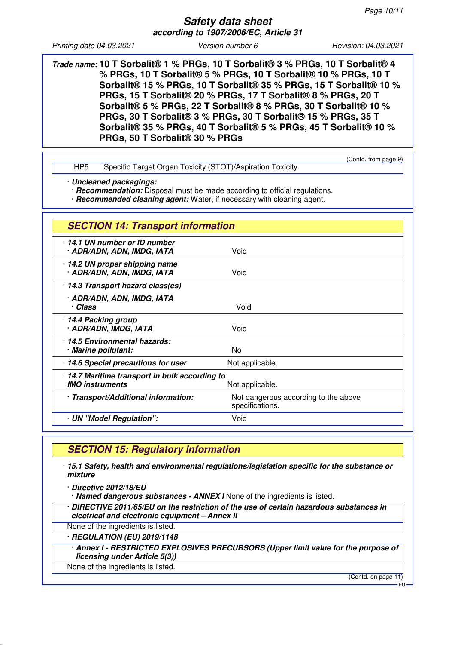**Trade name: 10 T Sorbalit® 1 % PRGs, 10 T Sorbalit® 3 % PRGs, 10 T Sorbalit® 4 % PRGs, 10 T Sorbalit® 5 % PRGs, 10 T Sorbalit® 10 % PRGs, 10 T Sorbalit® 15 % PRGs, 10 T Sorbalit® 35 % PRGs, 15 T Sorbalit® 10 % PRGs, 15 T Sorbalit® 20 % PRGs, 17 T Sorbalit® 8 % PRGs, 20 T Sorbalit® 5 % PRGs, 22 T Sorbalit® 8 % PRGs, 30 T Sorbalit® 10 % PRGs, 30 T Sorbalit® 3 % PRGs, 30 T Sorbalit® 15 % PRGs, 35 T Sorbalit® 35 % PRGs, 40 T Sorbalit® 5 % PRGs, 45 T Sorbalit® 10 % PRGs, 50 T Sorbalit® 30 % PRGs**

|     |                                                           | (Contd. from page 9) |
|-----|-----------------------------------------------------------|----------------------|
| HP5 | Specific Target Organ Toxicity (STOT)/Aspiration Toxicity |                      |

· **Uncleaned packagings:**

· **Recommendation:** Disposal must be made according to official regulations.

· **Recommended cleaning agent:** Water, if necessary with cleaning agent.

| <b>SECTION 14: Transport information</b>                                                    |                                                         |  |
|---------------------------------------------------------------------------------------------|---------------------------------------------------------|--|
| 14.1 UN number or ID number<br>· ADR/ADN, ADN, IMDG, IATA                                   | Void                                                    |  |
| · 14.2 UN proper shipping name<br>· ADR/ADN, ADN, IMDG, IATA                                | Void                                                    |  |
| · 14.3 Transport hazard class(es)                                                           |                                                         |  |
| · ADR/ADN, ADN, IMDG, IATA<br>· Class                                                       | Void                                                    |  |
| 14.4 Packing group<br>· ADR/ADN, IMDG, IATA                                                 | Void                                                    |  |
| 14.5 Environmental hazards:<br>· Marine pollutant:                                          | No                                                      |  |
| 14.6 Special precautions for user                                                           | Not applicable.                                         |  |
| · 14.7 Maritime transport in bulk according to<br><b>IMO</b> instruments<br>Not applicable. |                                                         |  |
| · Transport/Additional information:                                                         | Not dangerous according to the above<br>specifications. |  |
| · UN "Model Regulation":                                                                    | Void                                                    |  |

# **SECTION 15: Regulatory information**

· **15.1 Safety, health and environmental regulations/legislation specific for the substance or mixture**

· **Directive 2012/18/EU**

· **Named dangerous substances - ANNEX I** None of the ingredients is listed.

· **DIRECTIVE 2011/65/EU on the restriction of the use of certain hazardous substances in electrical and electronic equipment – Annex II**

None of the ingredients is listed.

· **REGULATION (EU) 2019/1148**

· **Annex I - RESTRICTED EXPLOSIVES PRECURSORS (Upper limit value for the purpose of licensing under Article 5(3))**

None of the ingredients is listed.

(Contd. on page 11)

EU